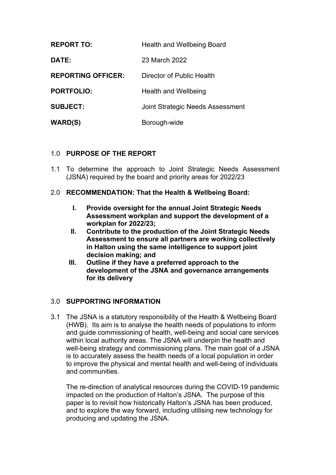| <b>REPORT TO:</b>         | Health and Wellbeing Board       |
|---------------------------|----------------------------------|
| DATE:                     | 23 March 2022                    |
| <b>REPORTING OFFICER:</b> | Director of Public Health        |
| <b>PORTFOLIO:</b>         | <b>Health and Wellbeing</b>      |
| <b>SUBJECT:</b>           | Joint Strategic Needs Assessment |
| <b>WARD(S)</b>            | Borough-wide                     |

## 1.0 **PURPOSE OF THE REPORT**

1.1 To determine the approach to Joint Strategic Needs Assessment (JSNA) required by the board and priority areas for 2022/23

## 2.0 **RECOMMENDATION: That the Health & Wellbeing Board:**

- **I. Provide oversight for the annual Joint Strategic Needs Assessment workplan and support the development of a workplan for 2022/23;**
- **II. Contribute to the production of the Joint Strategic Needs Assessment to ensure all partners are working collectively in Halton using the same intelligence to support joint decision making; and**
- **III. Outline if they have a preferred approach to the development of the JSNA and governance arrangements for its delivery**

## 3.0 **SUPPORTING INFORMATION**

3.1 The JSNA is a statutory responsibility of the Health & Wellbeing Board (HWB). Its aim is to analyse the health needs of populations to inform and guide commissioning of health, well-being and social care services within local authority areas. The JSNA will underpin the health and well-being strategy and commissioning plans. The main goal of a JSNA is to accurately assess the health needs of a local population in order to improve the physical and mental health and well-being of individuals and communities.

The re-direction of analytical resources during the COVID-19 pandemic impacted on the production of Halton's JSNA. The purpose of this paper is to revisit how historically Halton's JSNA has been produced, and to explore the way forward, including utilising new technology for producing and updating the JSNA.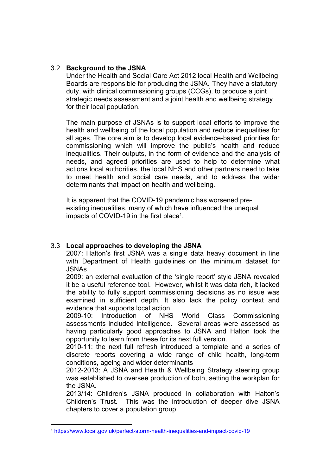## 3.2 **Background to the JSNA**

Under the Health and Social Care Act 2012 local Health and Wellbeing Boards are responsible for producing the JSNA. They have a statutory duty, with clinical commissioning groups (CCGs), to produce a joint strategic needs assessment and a joint health and wellbeing strategy for their local population.

The main purpose of JSNAs is to support local efforts to improve the health and wellbeing of the local population and reduce inequalities for all ages. The core aim is to develop local evidence-based priorities for commissioning which will improve the public's health and reduce inequalities. Their outputs, in the form of evidence and the analysis of needs, and agreed priorities are used to help to determine what actions local authorities, the local NHS and other partners need to take to meet health and social care needs, and to address the wider determinants that impact on health and wellbeing.

It is apparent that the COVID-19 pandemic has worsened preexisting inequalities, many of which have influenced the unequal impacts of COVID-19 in the first place<sup>1</sup>.

# 3.3 **Local approaches to developing the JSNA**

2007: Halton's first JSNA was a single data heavy document in line with Department of Health guidelines on the minimum dataset for JSNAs

2009: an external evaluation of the 'single report' style JSNA revealed it be a useful reference tool. However, whilst it was data rich, it lacked the ability to fully support commissioning decisions as no issue was examined in sufficient depth. It also lack the policy context and evidence that supports local action.

2009-10: Introduction of NHS World Class Commissioning assessments included intelligence. Several areas were assessed as having particularly good approaches to JSNA and Halton took the opportunity to learn from these for its next full version.

2010-11: the next full refresh introduced a template and a series of discrete reports covering a wide range of child health, long-term conditions, ageing and wider determinants

2012-2013: A JSNA and Health & Wellbeing Strategy steering group was established to oversee production of both, setting the workplan for the JSNA.

2013/14: Children's JSNA produced in collaboration with Halton's Children's Trust. This was the introduction of deeper dive JSNA chapters to cover a population group.

<sup>1</sup> <https://www.local.gov.uk/perfect-storm-health-inequalities-and-impact-covid-19>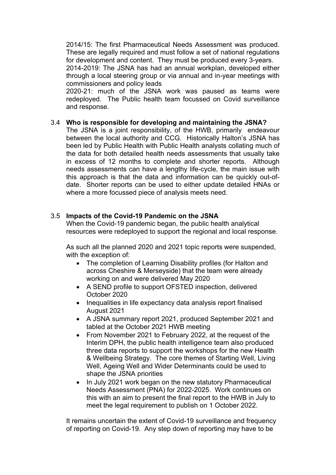2014/15: The first Pharmaceutical Needs Assessment was produced. These are legally required and must follow a set of national regulations for development and content. They must be produced every 3-years. 2014-2019: The JSNA has had an annual workplan, developed either through a local steering group or via annual and in-year meetings with commissioners and policy leads 2020-21: much of the JSNA work was paused as teams were

redeployed. The Public health team focussed on Covid surveillance and response.

## 3.4 **Who is responsible for developing and maintaining the JSNA?**

The JSNA is a joint responsibility, of the HWB, primarily endeavour between the local authority and CCG. Historically Halton's JSNA has been led by Public Health with Public Health analysts collating much of the data for both detailed health needs assessments that usually take in excess of 12 months to complete and shorter reports. Although needs assessments can have a lengthy life-cycle, the main issue with this approach is that the data and information can be quickly out-ofdate. Shorter reports can be used to either update detailed HNAs or where a more focussed piece of analysis meets need.

## 3.5 **Impacts of the Covid-19 Pandemic on the JSNA**

When the Covid-19 pandemic began, the public health analytical resources were redeployed to support the regional and local response.

As such all the planned 2020 and 2021 topic reports were suspended, with the exception of:

- The completion of Learning Disability profiles (for Halton and across Cheshire & Merseyside) that the team were already working on and were delivered May 2020
- A SEND profile to support OFSTED inspection, delivered October 2020
- Inequalities in life expectancy data analysis report finalised August 2021
- A JSNA summary report 2021, produced September 2021 and tabled at the October 2021 HWB meeting
- From November 2021 to February 2022, at the request of the Interim DPH, the public health intelligence team also produced three data reports to support the workshops for the new Health & Wellbeing Strategy. The core themes of Starting Well, Living Well, Ageing Well and Wider Determinants could be used to shape the JSNA priorities
- In July 2021 work began on the new statutory Pharmaceutical Needs Assessment (PNA) for 2022-2025. Work continues on this with an aim to present the final report to the HWB in July to meet the legal requirement to publish on 1 October 2022.

It remains uncertain the extent of Covid-19 surveillance and frequency of reporting on Covid-19. Any step down of reporting may have to be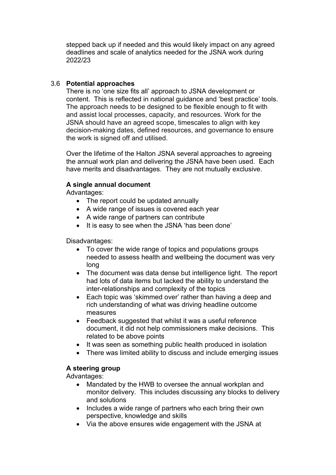stepped back up if needed and this would likely impact on any agreed deadlines and scale of analytics needed for the JSNA work during 2022/23

## 3.6 **Potential approaches**

There is no 'one size fits all' approach to JSNA development or content. This is reflected in national guidance and 'best practice' tools. The approach needs to be designed to be flexible enough to fit with and assist local processes, capacity, and resources. Work for the JSNA should have an agreed scope, timescales to align with key decision-making dates, defined resources, and governance to ensure the work is signed off and utilised.

Over the lifetime of the Halton JSNA several approaches to agreeing the annual work plan and delivering the JSNA have been used. Each have merits and disadvantages. They are not mutually exclusive.

## **A single annual document**

Advantages:

- The report could be updated annually
- A wide range of issues is covered each year
- A wide range of partners can contribute
- It is easy to see when the JSNA 'has been done'

Disadvantages:

- To cover the wide range of topics and populations groups needed to assess health and wellbeing the document was very long
- The document was data dense but intelligence light. The report had lots of data items but lacked the ability to understand the inter-relationships and complexity of the topics
- Each topic was 'skimmed over' rather than having a deep and rich understanding of what was driving headline outcome measures
- Feedback suggested that whilst it was a useful reference document, it did not help commissioners make decisions. This related to be above points
- It was seen as something public health produced in isolation
- There was limited ability to discuss and include emerging issues

# **A steering group**

Advantages:

- Mandated by the HWB to oversee the annual workplan and monitor delivery. This includes discussing any blocks to delivery and solutions
- Includes a wide range of partners who each bring their own perspective, knowledge and skills
- Via the above ensures wide engagement with the JSNA at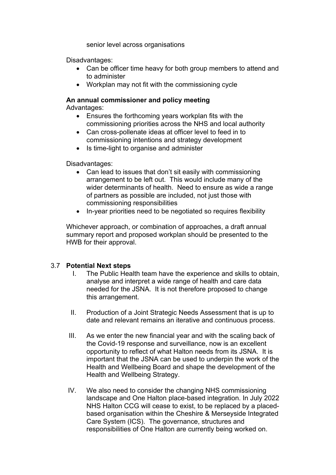senior level across organisations

Disadvantages:

- Can be officer time heavy for both group members to attend and to administer
- Workplan may not fit with the commissioning cycle

#### **An annual commissioner and policy meeting** Advantages:

- Ensures the forthcoming years workplan fits with the commissioning priorities across the NHS and local authority
- Can cross-pollenate ideas at officer level to feed in to commissioning intentions and strategy development
- Is time-light to organise and administer

Disadvantages:

- Can lead to issues that don't sit easily with commissioning arrangement to be left out. This would include many of the wider determinants of health. Need to ensure as wide a range of partners as possible are included, not just those with commissioning responsibilities
- In-year priorities need to be negotiated so requires flexibility

Whichever approach, or combination of approaches, a draft annual summary report and proposed workplan should be presented to the HWB for their approval.

# 3.7 **Potential Next steps**

- I. The Public Health team have the experience and skills to obtain, analyse and interpret a wide range of health and care data needed for the JSNA. It is not therefore proposed to change this arrangement.
- II. Production of a Joint Strategic Needs Assessment that is up to date and relevant remains an iterative and continuous process.
- III. As we enter the new financial year and with the scaling back of the Covid-19 response and surveillance, now is an excellent opportunity to reflect of what Halton needs from its JSNA. It is important that the JSNA can be used to underpin the work of the Health and Wellbeing Board and shape the development of the Health and Wellbeing Strategy.
- IV. We also need to consider the changing NHS commissioning landscape and One Halton place-based integration. In July 2022 NHS Halton CCG will cease to exist, to be replaced by a placedbased organisation within the Cheshire & Merseyside Integrated Care System (ICS). The governance, structures and responsibilities of One Halton are currently being worked on.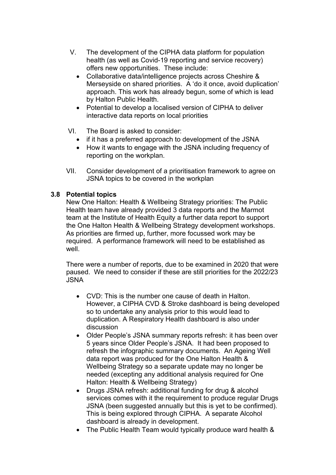- V. The development of the CIPHA data platform for population health (as well as Covid-19 reporting and service recovery) offers new opportunities. These include:
	- Collaborative data/intelligence projects across Cheshire & Merseyside on shared priorities. A 'do it once, avoid duplication' approach. This work has already begun, some of which is lead by Halton Public Health.
	- Potential to develop a localised version of CIPHA to deliver interactive data reports on local priorities
- VI. The Board is asked to consider:
	- if it has a preferred approach to development of the JSNA
	- How it wants to engage with the JSNA including frequency of reporting on the workplan.
- VII. Consider development of a prioritisation framework to agree on JSNA topics to be covered in the workplan

## **3.8 Potential topics**

New One Halton: Health & Wellbeing Strategy priorities: The Public Health team have already provided 3 data reports and the Marmot team at the Institute of Health Equity a further data report to support the One Halton Health & Wellbeing Strategy development workshops. As priorities are firmed up, further, more focussed work may be required. A performance framework will need to be established as well.

There were a number of reports, due to be examined in 2020 that were paused. We need to consider if these are still priorities for the 2022/23 JSNA

- CVD: This is the number one cause of death in Halton. However, a CIPHA CVD & Stroke dashboard is being developed so to undertake any analysis prior to this would lead to duplication. A Respiratory Health dashboard is also under discussion
- Older People's JSNA summary reports refresh: it has been over 5 years since Older People's JSNA. It had been proposed to refresh the infographic summary documents. An Ageing Well data report was produced for the One Halton Health & Wellbeing Strategy so a separate update may no longer be needed (excepting any additional analysis required for One Halton: Health & Wellbeing Strategy)
- Drugs JSNA refresh: additional funding for drug & alcohol services comes with it the requirement to produce regular Drugs JSNA (been suggested annually but this is yet to be confirmed). This is being explored through CIPHA. A separate Alcohol dashboard is already in development.
- The Public Health Team would typically produce ward health &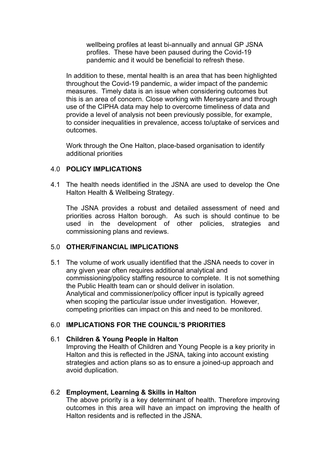wellbeing profiles at least bi-annually and annual GP JSNA profiles. These have been paused during the Covid-19 pandemic and it would be beneficial to refresh these.

In addition to these, mental health is an area that has been highlighted throughout the Covid-19 pandemic, a wider impact of the pandemic measures. Timely data is an issue when considering outcomes but this is an area of concern. Close working with Merseycare and through use of the CIPHA data may help to overcome timeliness of data and provide a level of analysis not been previously possible, for example, to consider inequalities in prevalence, access to/uptake of services and outcomes.

Work through the One Halton, place-based organisation to identify additional priorities

## 4.0 **POLICY IMPLICATIONS**

4.1 The health needs identified in the JSNA are used to develop the One Halton Health & Wellbeing Strategy.

The JSNA provides a robust and detailed assessment of need and priorities across Halton borough. As such is should continue to be used in the development of other policies, strategies and commissioning plans and reviews.

## 5.0 **OTHER/FINANCIAL IMPLICATIONS**

5.1 The volume of work usually identified that the JSNA needs to cover in any given year often requires additional analytical and commissioning/policy staffing resource to complete. It is not something the Public Health team can or should deliver in isolation. Analytical and commissioner/policy officer input is typically agreed when scoping the particular issue under investigation. However, competing priorities can impact on this and need to be monitored.

# 6.0 **IMPLICATIONS FOR THE COUNCIL'S PRIORITIES**

## 6.1 **Children & Young People in Halton**

Improving the Health of Children and Young People is a key priority in Halton and this is reflected in the JSNA, taking into account existing strategies and action plans so as to ensure a joined-up approach and avoid duplication.

## 6.2 **Employment, Learning & Skills in Halton**

The above priority is a key determinant of health. Therefore improving outcomes in this area will have an impact on improving the health of Halton residents and is reflected in the JSNA.